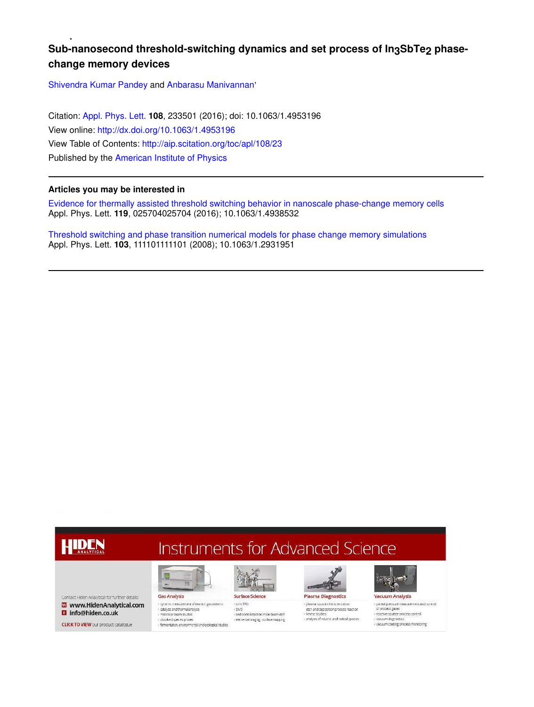## Sub-nanosecond threshold-switching dynamics and set process of ln<sub>3</sub>SbTe<sub>2</sub> phase**change memory devices**

Shivendra Kumar Pandey and Anbarasu Manivannan'

Citation: Appl. Phys. Lett. **108**, 233501 (2016); doi: 10.1063/1.4953196 View online: http://dx.doi.org/10.1063/1.4953196 View Table of Contents: http://aip.scitation.org/toc/apl/108/23 Published by the American Institute of Physics

#### **Articles you may be interested in**

Evidence for thermally assisted threshold switching behavior in nanoscale phase-change memory cells Appl. Phys. Lett. **119**, 025704025704 (2016); 10.1063/1.4938532

Threshold switching and phase transition numerical models for phase change memory simulations Appl. Phys. Lett. **103**, 111101111101 (2008); 10.1063/1.2931951

## HIDEN

# **Instruments for Advanced Science**

Contact Hiden Analytical for further details: W www.HidenAnalytical.com **B** info@hiden.co.uk

**CLICK TO VIEW** our product catalogue



I.

 $-23.45$ r axergada la drenir en en españ<br>« motocular beam studios<br>« farmentation, environmental and ecological studios end point detection in ion beam etch<br>elemental imaging - surface mapping

 $+$  LI-F/TPD



**Plasma Diagnostics** + plasma source characterization etch and deposition process reaction · Janetic studies i analysis of neutral and radical species



> partial press of process gases · reactive sputter process control vacuum diagnostic



vacuum coating process monitoring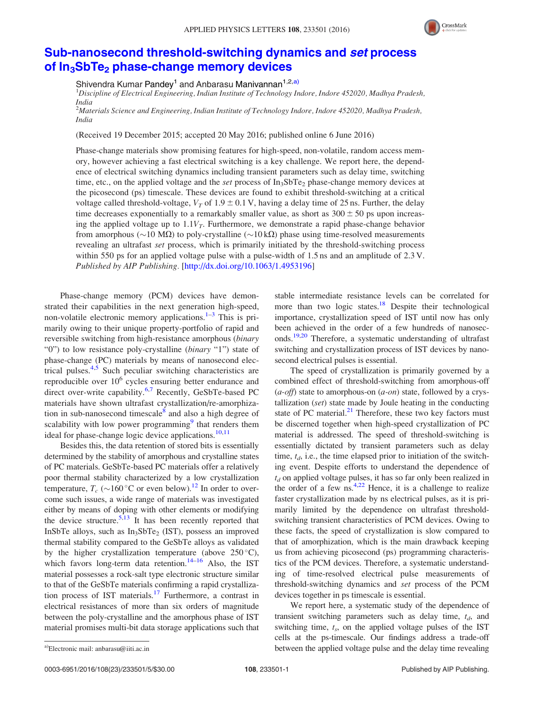

## Sub-nanosecond threshold-switching dynamics and set process of In<sub>3</sub>SbTe<sub>2</sub> phase-change memory devices

Shivendra Kumar Pandey<sup>1</sup> and Anbarasu Manivannan<sup>1,2,a)</sup>

<sup>1</sup>Discipline of Electrical Engineering, Indian Institute of Technology Indore, Indore 452020, Madhya Pradesh, India

<sup>2</sup>Materials Science and Engineering, Indian Institute of Technology Indore, Indore 452020, Madhya Pradesh, India

(Received 19 December 2015; accepted 20 May 2016; published online 6 June 2016)

Phase-change materials show promising features for high-speed, non-volatile, random access memory, however achieving a fast electrical switching is a key challenge. We report here, the dependence of electrical switching dynamics including transient parameters such as delay time, switching time, etc., on the applied voltage and the *set* process of  $In<sub>3</sub>SbTe<sub>2</sub>$  phase-change memory devices at the picosecond (ps) timescale. These devices are found to exhibit threshold-switching at a critical voltage called threshold-voltage,  $V_T$  of 1.9  $\pm$  0.1 V, having a delay time of 25 ns. Further, the delay time decreases exponentially to a remarkably smaller value, as short as  $300 \pm 50$  ps upon increasing the applied voltage up to  $1.1V_T$ . Furthermore, we demonstrate a rapid phase-change behavior from amorphous ( $\sim$ 10 M $\Omega$ ) to poly-crystalline ( $\sim$ 10 k $\Omega$ ) phase using time-resolved measurements revealing an ultrafast set process, which is primarily initiated by the threshold-switching process within 550 ps for an applied voltage pulse with a pulse-width of 1.5 ns and an amplitude of 2.3 V. Published by AIP Publishing. [http://dx.doi.org/10.1063/1.4953196]

Phase-change memory (PCM) devices have demonstrated their capabilities in the next generation high-speed, non-volatile electronic memory applications.<sup>1-3</sup> This is primarily owing to their unique property-portfolio of rapid and reversible switching from high-resistance amorphous (binary "0") to low resistance poly-crystalline (binary "1") state of phase-change (PC) materials by means of nanosecond electrical pulses.4,5 Such peculiar switching characteristics are reproducible over  $10^6$  cycles ensuring better endurance and direct over-write capability.<sup>6,7</sup> Recently, GeSbTe-based PC materials have shown ultrafast crystallization/re-amorphization in sub-nanosecond timescale $\frac{8}{3}$  and also a high degree of scalability with low power programming<sup>9</sup> that renders them ideal for phase-change logic device applications.<sup>10,11</sup>

Besides this, the data retention of stored bits is essentially determined by the stability of amorphous and crystalline states of PC materials. GeSbTe-based PC materials offer a relatively poor thermal stability characterized by a low crystallization temperature,  $T_c$  ( $\sim$ 160 °C or even below).<sup>12</sup> In order to overcome such issues, a wide range of materials was investigated either by means of doping with other elements or modifying the device structure.<sup>5,13</sup> It has been recently reported that InSbTe alloys, such as  $In<sub>3</sub>SbTe<sub>2</sub>$  (IST), possess an improved thermal stability compared to the GeSbTe alloys as validated by the higher crystallization temperature (above  $250^{\circ}$ C), which favors long-term data retention.<sup>14–16</sup> Also, the IST material possesses a rock-salt type electronic structure similar to that of the GeSbTe materials confirming a rapid crystallization process of IST materials.<sup>17</sup> Furthermore, a contrast in electrical resistances of more than six orders of magnitude between the poly-crystalline and the amorphous phase of IST material promises multi-bit data storage applications such that stable intermediate resistance levels can be correlated for more than two logic states.<sup>18</sup> Despite their technological importance, crystallization speed of IST until now has only been achieved in the order of a few hundreds of nanoseconds.19,20 Therefore, a systematic understanding of ultrafast switching and crystallization process of IST devices by nanosecond electrical pulses is essential.

The speed of crystallization is primarily governed by a combined effect of threshold-switching from amorphous-off  $(a$ -*off*) state to amorphous-on  $(a$ -*on*) state, followed by a crystallization (set) state made by Joule heating in the conducting state of PC material.<sup>21</sup> Therefore, these two key factors must be discerned together when high-speed crystallization of PC material is addressed. The speed of threshold-switching is essentially dictated by transient parameters such as delay time,  $t_d$ , i.e., the time elapsed prior to initiation of the switching event. Despite efforts to understand the dependence of  $t<sub>d</sub>$  on applied voltage pulses, it has so far only been realized in the order of a few ns. $4.22$  Hence, it is a challenge to realize faster crystallization made by ns electrical pulses, as it is primarily limited by the dependence on ultrafast thresholdswitching transient characteristics of PCM devices. Owing to these facts, the speed of crystallization is slow compared to that of amorphization, which is the main drawback keeping us from achieving picosecond (ps) programming characteristics of the PCM devices. Therefore, a systematic understanding of time-resolved electrical pulse measurements of threshold-switching dynamics and set process of the PCM devices together in ps timescale is essential.

We report here, a systematic study of the dependence of transient switching parameters such as delay time,  $t_d$ , and switching time,  $t_s$ , on the applied voltage pulses of the IST cells at the ps-timescale. Our findings address a trade-off a)Electronic mail: anbarasu@iiti.ac.in **between the applied voltage pulse and the delay time revealing**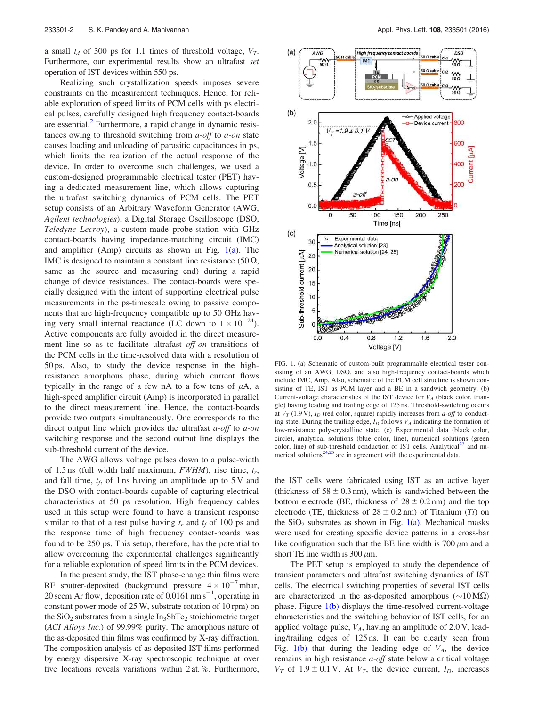a small  $t_d$  of 300 ps for 1.1 times of threshold voltage,  $V_T$ . Furthermore, our experimental results show an ultrafast set operation of IST devices within 550 ps.

Realizing such crystallization speeds imposes severe constraints on the measurement techniques. Hence, for reliable exploration of speed limits of PCM cells with ps electrical pulses, carefully designed high frequency contact-boards are essential.<sup>2</sup> Furthermore, a rapid change in dynamic resistances owing to threshold switching from  $a$ -off to  $a$ -on state causes loading and unloading of parasitic capacitances in ps, which limits the realization of the actual response of the device. In order to overcome such challenges, we used a custom-designed programmable electrical tester (PET) having a dedicated measurement line, which allows capturing the ultrafast switching dynamics of PCM cells. The PET setup consists of an Arbitrary Waveform Generator (AWG, Agilent technologies), a Digital Storage Oscilloscope (DSO, Teledyne Lecroy), a custom-made probe-station with GHz contact-boards having impedance-matching circuit (IMC) and amplifier (Amp) circuits as shown in Fig.  $1(a)$ . The IMC is designed to maintain a constant line resistance  $(50 \Omega,$ same as the source and measuring end) during a rapid change of device resistances. The contact-boards were specially designed with the intent of supporting electrical pulse measurements in the ps-timescale owing to passive components that are high-frequency compatible up to 50 GHz having very small internal reactance (LC down to  $1 \times 10^{-24}$ ). Active components are fully avoided in the direct measurement line so as to facilitate ultrafast *off-on* transitions of the PCM cells in the time-resolved data with a resolution of 50 ps. Also, to study the device response in the highresistance amorphous phase, during which current flows typically in the range of a few nA to a few tens of  $\mu$ A, a high-speed amplifier circuit (Amp) is incorporated in parallel to the direct measurement line. Hence, the contact-boards provide two outputs simultaneously. One corresponds to the direct output line which provides the ultrafast *a-off* to *a-on* switching response and the second output line displays the sub-threshold current of the device.

The AWG allows voltage pulses down to a pulse-width of 1.5 ns (full width half maximum,  $FWHM$ ), rise time,  $t_r$ , and fall time,  $t_f$ , of 1 ns having an amplitude up to 5 V and the DSO with contact-boards capable of capturing electrical characteristics at 50 ps resolution. High frequency cables used in this setup were found to have a transient response similar to that of a test pulse having  $t_r$  and  $t_f$  of 100 ps and the response time of high frequency contact-boards was found to be 250 ps. This setup, therefore, has the potential to allow overcoming the experimental challenges significantly for a reliable exploration of speed limits in the PCM devices.

In the present study, the IST phase-change thin films were RF sputter-deposited (background pressure  $4 \times 10^{-7}$  mbar, 20 sccm Ar flow, deposition rate of  $0.0161 \text{ nm s}^{-1}$ , operating in constant power mode of 25W, substrate rotation of 10 rpm) on the  $SiO<sub>2</sub>$  substrates from a single  $In<sub>3</sub>SbTe<sub>2</sub>$  stoichiometric target (ACI Alloys Inc.) of 99.99% purity. The amorphous nature of the as-deposited thin films was confirmed by X-ray diffraction. The composition analysis of as-deposited IST films performed by energy dispersive X-ray spectroscopic technique at over five locations reveals variations within 2 at. %. Furthermore,



FIG. 1. (a) Schematic of custom-built programmable electrical tester consisting of an AWG, DSO, and also high-frequency contact-boards which include IMC, Amp. Also, schematic of the PCM cell structure is shown consisting of TE, IST as PCM layer and a BE in a sandwich geometry. (b) Current-voltage characteristics of the IST device for  $V_A$  (black color, triangle) having leading and trailing edge of 125 ns. Threshold-switching occurs at  $V_T$  (1.9 V),  $I_D$  (red color, square) rapidly increases from *a-off* to conducting state. During the trailing edge,  $I_D$  follows  $V_A$  indicating the formation of low-resistance poly-crystalline state. (c) Experimental data (black color, circle), analytical solutions (blue color, line), numerical solutions (green color, line) of sub-threshold conduction of IST cells. Analytical $^{23}$  and numerical solutions $24.25$  are in agreement with the experimental data.

the IST cells were fabricated using IST as an active layer (thickness of  $58 \pm 0.3$  nm), which is sandwiched between the bottom electrode (BE, thickness of  $28 \pm 0.2$  nm) and the top electrode (TE, thickness of  $28 \pm 0.2$  nm) of Titanium (Ti) on the  $SiO<sub>2</sub>$  substrates as shown in Fig. 1(a). Mechanical masks were used for creating specific device patterns in a cross-bar like configuration such that the BE line width is  $700 \mu m$  and a short TE line width is  $300 \mu m$ .

The PET setup is employed to study the dependence of transient parameters and ultrafast switching dynamics of IST cells. The electrical switching properties of several IST cells are characterized in the as-deposited amorphous  $(\sim 10 \text{ M}\Omega)$ phase. Figure  $1(b)$  displays the time-resolved current-voltage characteristics and the switching behavior of IST cells, for an applied voltage pulse,  $V_A$ , having an amplitude of 2.0 V, leading/trailing edges of 125 ns. It can be clearly seen from Fig.  $1(b)$  that during the leading edge of  $V_A$ , the device remains in high resistance *a-off* state below a critical voltage  $V_T$  of 1.9 ± 0.1 V. At  $V_T$ , the device current,  $I_D$ , increases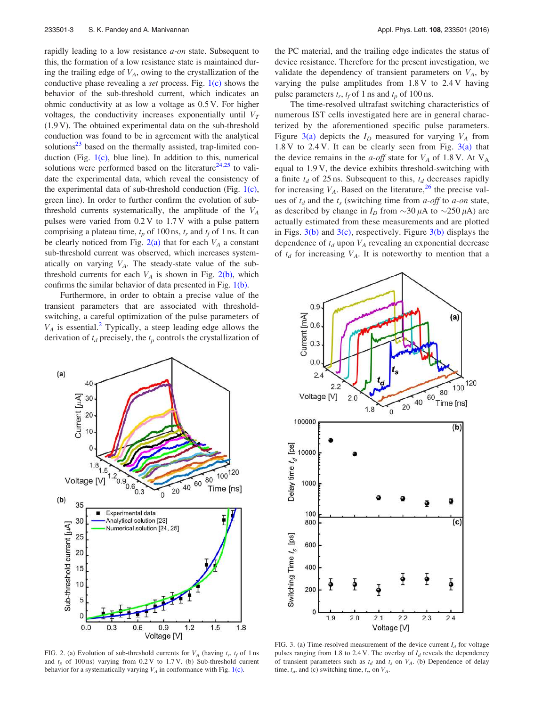rapidly leading to a low resistance *a-on* state. Subsequent to this, the formation of a low resistance state is maintained during the trailing edge of  $V_A$ , owing to the crystallization of the conductive phase revealing a set process. Fig. 1(c) shows the behavior of the sub-threshold current, which indicates an ohmic conductivity at as low a voltage as 0.5 V. For higher voltages, the conductivity increases exponentially until  $V_T$ (1.9 V). The obtained experimental data on the sub-threshold conduction was found to be in agreement with the analytical solutions $^{23}$  based on the thermally assisted, trap-limited conduction (Fig.  $1(c)$ , blue line). In addition to this, numerical solutions were performed based on the literature<sup>24,25</sup> to validate the experimental data, which reveal the consistency of the experimental data of sub-threshold conduction (Fig. 1(c), green line). In order to further confirm the evolution of subthreshold currents systematically, the amplitude of the  $V_A$ pulses were varied from 0.2 V to 1.7 V with a pulse pattern comprising a plateau time,  $t_p$  of 100 ns,  $t_r$  and  $t_f$  of 1 ns. It can be clearly noticed from Fig.  $2(a)$  that for each  $V_A$  a constant sub-threshold current was observed, which increases systematically on varying  $V_A$ . The steady-state value of the subthreshold currents for each  $V_A$  is shown in Fig. 2(b), which confirms the similar behavior of data presented in Fig. 1(b).

Furthermore, in order to obtain a precise value of the transient parameters that are associated with thresholdswitching, a careful optimization of the pulse parameters of  $V_A$  is essential.<sup>2</sup> Typically, a steep leading edge allows the derivation of  $t_d$  precisely, the  $t_p$  controls the crystallization of



FIG. 2. (a) Evolution of sub-threshold currents for  $V_A$  (having  $t_r$ ,  $t_f$  of 1 ns and  $t_p$  of 100 ns) varying from 0.2 V to 1.7 V. (b) Sub-threshold current behavior for a systematically varying  $V_A$  in conformance with Fig. 1(c).

the PC material, and the trailing edge indicates the status of device resistance. Therefore for the present investigation, we validate the dependency of transient parameters on  $V_A$ , by varying the pulse amplitudes from 1.8 V to 2.4 V having pulse parameters  $t_r$ ,  $t_f$  of 1 ns and  $t_p$  of 100 ns.

The time-resolved ultrafast switching characteristics of numerous IST cells investigated here are in general characterized by the aforementioned specific pulse parameters. Figure 3(a) depicts the  $I_D$  measured for varying  $V_A$  from 1.8 V to 2.4 V. It can be clearly seen from Fig. 3(a) that the device remains in the a-off state for  $V_A$  of 1.8 V. At  $V_A$ equal to 1.9 V, the device exhibits threshold-switching with a finite  $t_d$  of 25 ns. Subsequent to this,  $t_d$  decreases rapidly for increasing  $V_A$ . Based on the literature,<sup>26</sup> the precise values of  $t_d$  and the  $t_s$  (switching time from *a-off* to *a-on* state, as described by change in  $I_D$  from  $\sim$ 30  $\mu$ A to  $\sim$ 250  $\mu$ A) are actually estimated from these measurements and are plotted in Figs.  $3(b)$  and  $3(c)$ , respectively. Figure  $3(b)$  displays the dependence of  $t_d$  upon  $V_A$  revealing an exponential decrease of  $t_d$  for increasing  $V_A$ . It is noteworthy to mention that a



FIG. 3. (a) Time-resolved measurement of the device current  $I_d$  for voltage pulses ranging from 1.8 to 2.4 V. The overlay of  $I<sub>d</sub>$  reveals the dependency of transient parameters such as  $t_d$  and  $t_s$  on  $V_A$ . (b) Dependence of delay time,  $t_d$ , and (c) switching time,  $t_s$ , on  $V_A$ .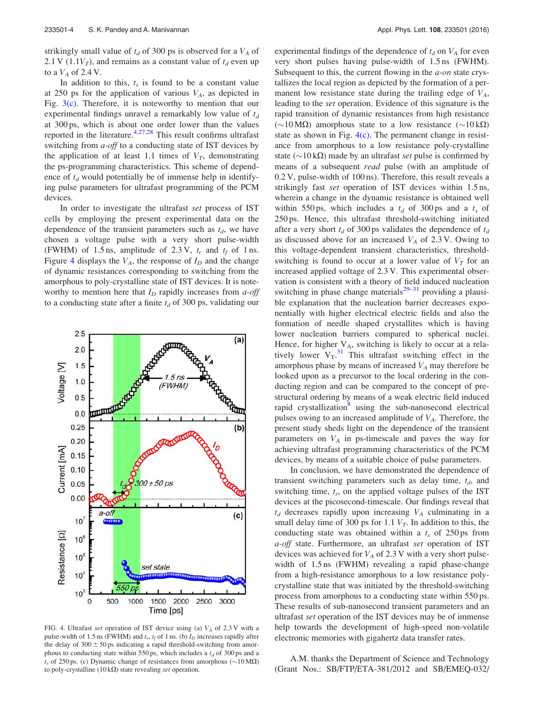strikingly small value of  $t_d$  of 300 ps is observed for a  $V_A$  of 2.1 V (1.1 $V_T$ ), and remains as a constant value of  $t_d$  even up to a  $V_A$  of 2.4 V.

In addition to this,  $t_s$  is found to be a constant value at 250 ps for the application of various  $V_A$ , as depicted in Fig.  $3(c)$ . Therefore, it is noteworthy to mention that our experimental findings unravel a remarkably low value of  $t_d$ at 300 ps, which is about one order lower than the values reported in the literature. $4,27,28$  This result confirms ultrafast switching from a-off to a conducting state of IST devices by the application of at least 1.1 times of  $V_T$ , demonstrating the ps-programming characteristics. This scheme of dependence of  $t_d$  would potentially be of immense help in identifying pulse parameters for ultrafast programming of the PCM devices.

In order to investigate the ultrafast set process of IST cells by employing the present experimental data on the dependence of the transient parameters such as  $t_d$ , we have chosen a voltage pulse with a very short pulse-width (FWHM) of 1.5 ns, amplitude of 2.3 V,  $t_r$  and  $t_f$  of 1 ns. Figure 4 displays the  $V_A$ , the response of  $I_D$  and the change of dynamic resistances corresponding to switching from the amorphous to poly-crystalline state of IST devices. It is noteworthy to mention here that  $I_D$  rapidly increases from *a-off* to a conducting state after a finite  $t_d$  of 300 ps, validating our



FIG. 4. Ultrafast set operation of IST device using (a)  $V_A$  of 2.3 V with a pulse-width of 1.5 ns (FWHM) and  $t_r$ ,  $t_f$  of 1 ns. (b)  $I_D$  increases rapidly after the delay of  $300 \pm 50$  ps indicating a rapid threshold-switching from amorphous to conducting state within 550 ps, which includes a  $t_d$  of 300 ps and a  $t_s$  of 250 ps. (c) Dynamic change of resistances from amorphous ( $\sim$ 10 M $\Omega$ ) to poly-crystalline (10 k $\Omega$ ) state revealing set operation.

experimental findings of the dependence of  $t_d$  on  $V_A$  for even very short pulses having pulse-width of 1.5 ns (FWHM). Subsequent to this, the current flowing in the *a-on* state crystallizes the local region as depicted by the formation of a permanent low resistance state during the trailing edge of  $V_A$ , leading to the set operation. Evidence of this signature is the rapid transition of dynamic resistances from high resistance (~10 MΩ) amorphous state to a low resistance (~10 kΩ) state as shown in Fig.  $4(c)$ . The permanent change in resistance from amorphous to a low resistance poly-crystalline state ( $\sim$ 10 k $\Omega$ ) made by an ultrafast set pulse is confirmed by means of a subsequent *read* pulse (with an amplitude of 0.2 V, pulse-width of 100 ns). Therefore, this result reveals a strikingly fast set operation of IST devices within 1.5 ns, wherein a change in the dynamic resistance is obtained well within 550 ps, which includes a  $t_d$  of 300 ps and a  $t_s$  of 250 ps. Hence, this ultrafast threshold-switching initiated after a very short  $t_d$  of 300 ps validates the dependence of  $t_d$ as discussed above for an increased  $V_A$  of 2.3 V. Owing to this voltage-dependent transient characteristics, thresholdswitching is found to occur at a lower value of  $V_T$  for an increased applied voltage of 2.3 V. This experimental observation is consistent with a theory of field induced nucleation switching in phase change materials $29-31$  providing a plausible explanation that the nucleation barrier decreases exponentially with higher electrical electric fields and also the formation of needle shaped crystallites which is having lower nucleation barriers compared to spherical nuclei. Hence, for higher  $V_A$ , switching is likely to occur at a relatively lower  $V_T$ .<sup>31</sup> This ultrafast switching effect in the amorphous phase by means of increased  $V_A$  may therefore be looked upon as a precursor to the local ordering in the conducting region and can be compared to the concept of prestructural ordering by means of a weak electric field induced rapid crystallization<sup>8</sup> using the sub-nanosecond electrical pulses owing to an increased amplitude of  $V_A$ . Therefore, the present study sheds light on the dependence of the transient parameters on  $V_A$  in ps-timescale and paves the way for achieving ultrafast programming characteristics of the PCM devices, by means of a suitable choice of pulse parameters.

In conclusion, we have demonstrated the dependence of transient switching parameters such as delay time,  $t_d$ , and switching time,  $t_s$ , on the applied voltage pulses of the IST devices at the picosecond-timescale. Our findings reveal that  $t_d$  decreases rapidly upon increasing  $V_A$  culminating in a small delay time of 300 ps for 1.1  $V_T$ . In addition to this, the conducting state was obtained within a  $t_s$  of 250 ps from a-off state. Furthermore, an ultrafast set operation of IST devices was achieved for  $V_A$  of 2.3 V with a very short pulsewidth of 1.5 ns (FWHM) revealing a rapid phase-change from a high-resistance amorphous to a low resistance polycrystalline state that was initiated by the threshold-switching process from amorphous to a conducting state within 550 ps. These results of sub-nanosecond transient parameters and an ultrafast set operation of the IST devices may be of immense help towards the development of high-speed non-volatile electronic memories with gigahertz data transfer rates.

A.M. thanks the Department of Science and Technology (Grant Nos.: SB/FTP/ETA-381/2012 and SB/EMEQ-032/